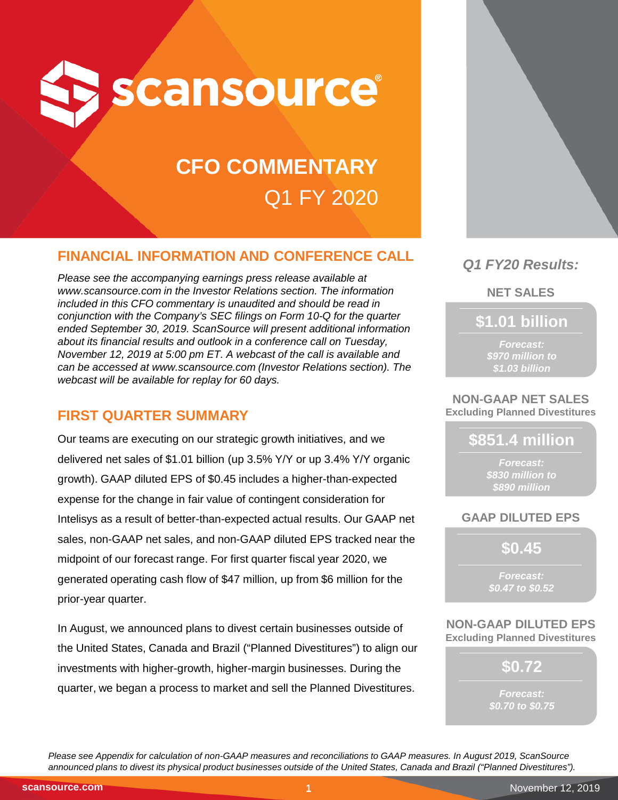

# **CFO COMMENTARY** Q1 FY 2020

# **FINANCIAL INFORMATION AND CONFERENCE CALL**

*Please see the accompanying earnings press release available at www.scansource.com in the Investor Relations section. The information included in this CFO commentary is unaudited and should be read in conjunction with the Company's SEC filings on Form 10-Q for the quarter ended September 30, 2019. ScanSource will present additional information about its financial results and outlook in a conference call on Tuesday, November 12, 2019 at 5:00 pm ET. A webcast of the call is available and can be accessed at www.scansource.com (Investor Relations section). The webcast will be available for replay for 60 days.*

# **FIRST QUARTER SUMMARY**

Our teams are executing on our strategic growth initiatives, and we delivered net sales of \$1.01 billion (up 3.5% Y/Y or up 3.4% Y/Y organic growth). GAAP diluted EPS of \$0.45 includes a higher-than-expected expense for the change in fair value of contingent consideration for Intelisys as a result of better-than-expected actual results. Our GAAP net sales, non-GAAP net sales, and non-GAAP diluted EPS tracked near the midpoint of our forecast range. For first quarter fiscal year 2020, we generated operating cash flow of \$47 million, up from \$6 million for the prior-year quarter.

In August, we announced plans to divest certain businesses outside of the United States, Canada and Brazil ("Planned Divestitures") to align our investments with higher-growth, higher-margin businesses. During the quarter, we began a process to market and sell the Planned Divestitures.



# *Q1 FY20 Results:*

**NET SALES**

**\$1.01 billion**

*Forecast: \$970 million to \$1.03 billion*

#### **NON-GAAP NET SALES Excluding Planned Divestitures**

**\$851.4 million**

*Forecast: \$830 million to \$890 million*

# **GAAP DILUTED EPS**

**\$0.45**

*Forecast: \$0.47 to \$0.52*

**NON-GAAP DILUTED EPS Excluding Planned Divestitures**

**\$0.72**

*Forecast: \$0.70 to \$0.75*

*Please see Appendix for calculation of non-GAAP measures and reconciliations to GAAP measures. In August 2019, ScanSource announced plans to divest its physical product businesses outside of the United States, Canada and Brazil ("Planned Divestitures").*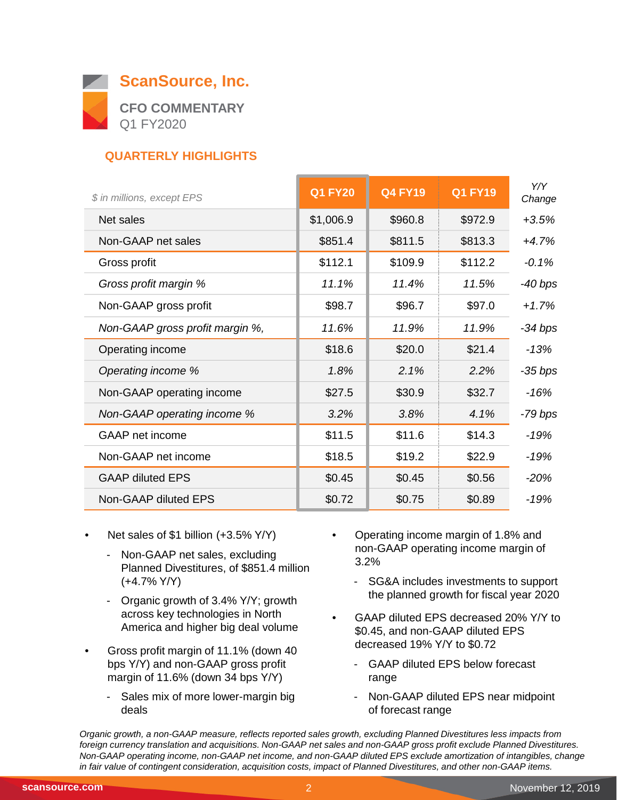

# **QUARTERLY HIGHLIGHTS**

| \$ in millions, except EPS      | <b>Q1 FY20</b> | <b>Q4 FY19</b> | <b>Q1 FY19</b> | Y/Y<br>Change |
|---------------------------------|----------------|----------------|----------------|---------------|
| Net sales                       | \$1,006.9      | \$960.8        | \$972.9        | $+3.5%$       |
| Non-GAAP net sales              | \$851.4        | \$811.5        | \$813.3        | $+4.7%$       |
| Gross profit                    | \$112.1        | \$109.9        | \$112.2        | $-0.1%$       |
| Gross profit margin %           | 11.1%          | 11.4%          | 11.5%          | $-40$ bps     |
| Non-GAAP gross profit           | \$98.7         | \$96.7         | \$97.0         | $+1.7%$       |
| Non-GAAP gross profit margin %, | 11.6%          | 11.9%          | 11.9%          | $-34$ bps     |
| Operating income                | \$18.6         | \$20.0         | \$21.4         | $-13%$        |
| Operating income %              | 1.8%           | 2.1%           | 2.2%           | $-35$ bps     |
| Non-GAAP operating income       | \$27.5         | \$30.9         | \$32.7         | -16%          |
| Non-GAAP operating income %     | 3.2%           | 3.8%           | 4.1%           | -79 bps       |
| <b>GAAP</b> net income          | \$11.5         | \$11.6         | \$14.3         | $-19%$        |
| Non-GAAP net income             | \$18.5         | \$19.2         | \$22.9         | $-19%$        |
| <b>GAAP diluted EPS</b>         | \$0.45         | \$0.45         | \$0.56         | $-20%$        |
| Non-GAAP diluted EPS            | \$0.72         | \$0.75         | \$0.89         | $-19%$        |

- Net sales of \$1 billion (+3.5% Y/Y)
	- Non-GAAP net sales, excluding Planned Divestitures, of \$851.4 million (+4.7% Y/Y)
	- Organic growth of 3.4% Y/Y; growth across key technologies in North America and higher big deal volume
- Gross profit margin of 11.1% (down 40 bps Y/Y) and non-GAAP gross profit margin of 11.6% (down 34 bps Y/Y)
	- Sales mix of more lower-margin big deals
- Operating income margin of 1.8% and non-GAAP operating income margin of 3.2%
	- SG&A includes investments to support the planned growth for fiscal year 2020
- GAAP diluted EPS decreased 20% Y/Y to \$0.45, and non-GAAP diluted EPS decreased 19% Y/Y to \$0.72
	- GAAP diluted EPS below forecast range
	- Non-GAAP diluted EPS near midpoint of forecast range

*Organic growth, a non-GAAP measure, reflects reported sales growth, excluding Planned Divestitures less impacts from foreign currency translation and acquisitions. Non-GAAP net sales and non-GAAP gross profit exclude Planned Divestitures. Non-GAAP operating income, non-GAAP net income, and non-GAAP diluted EPS exclude amortization of intangibles, change in fair value of contingent consideration, acquisition costs, impact of Planned Divestitures, and other non-GAAP items.*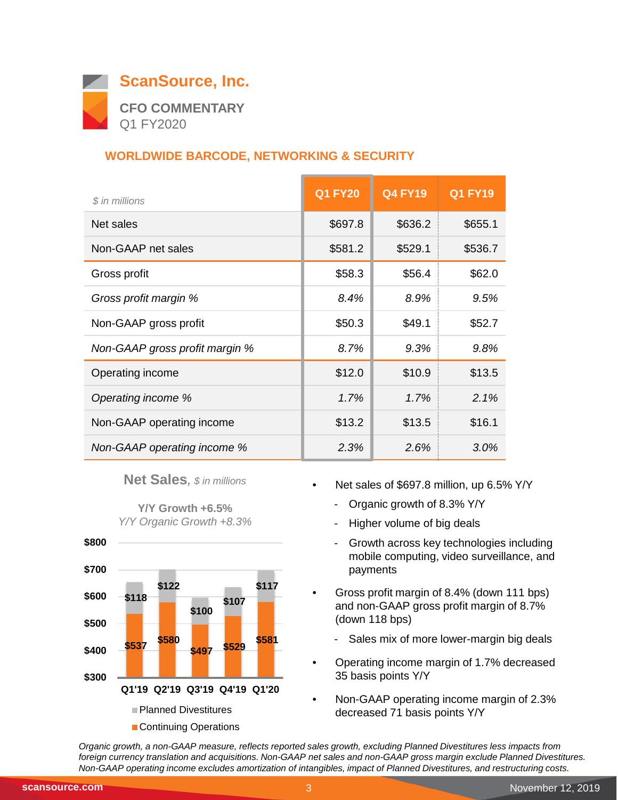

# **WORLDWIDE BARCODE, NETWORKING & SECURITY**

| \$ in millions                 | <b>Q1 FY20</b> | <b>Q4 FY19</b> | <b>Q1 FY19</b> |
|--------------------------------|----------------|----------------|----------------|
| Net sales                      | \$697.8        | \$636.2        | \$655.1        |
| Non-GAAP net sales             | \$581.2        | \$529.1        | \$536.7        |
| Gross profit                   | \$58.3         | \$56.4         | \$62.0         |
| Gross profit margin %          | 8.4%           | 8.9%           | 9.5%           |
| Non-GAAP gross profit          | \$50.3         | \$49.1         | \$52.7         |
| Non-GAAP gross profit margin % | 8.7%           | 9.3%           | 9.8%           |
| Operating income               | \$12.0         | \$10.9         | \$13.5         |
| Operating income %             | 1.7%           | 1.7%           | 2.1%           |
| Non-GAAP operating income      | \$13.2         | \$13.5         | \$16.1         |
| Non-GAAP operating income %    | 2.3%           | 2.6%           | 3.0%           |

**Net Sales***, \$ in millions*

**Y/Y Growth +6.5%** *Y/Y Organic Growth +8.3%*



- Net sales of \$697.8 million, up 6.5% Y/Y
	- Organic growth of 8.3% Y/Y
	- Higher volume of big deals
	- Growth across key technologies including mobile computing, video surveillance, and payments
- Gross profit margin of 8.4% (down 111 bps) and non-GAAP gross profit margin of 8.7% (down 118 bps)
	- Sales mix of more lower-margin big deals
- Operating income margin of 1.7% decreased 35 basis points Y/Y
- Non-GAAP operating income margin of 2.3% decreased 71 basis points Y/Y

*Organic growth, a non-GAAP measure, reflects reported sales growth, excluding Planned Divestitures less impacts from foreign currency translation and acquisitions. Non-GAAP net sales and non-GAAP gross margin exclude Planned Divestitures. Non-GAAP operating income excludes amortization of intangibles, impact of Planned Divestitures, and restructuring costs.*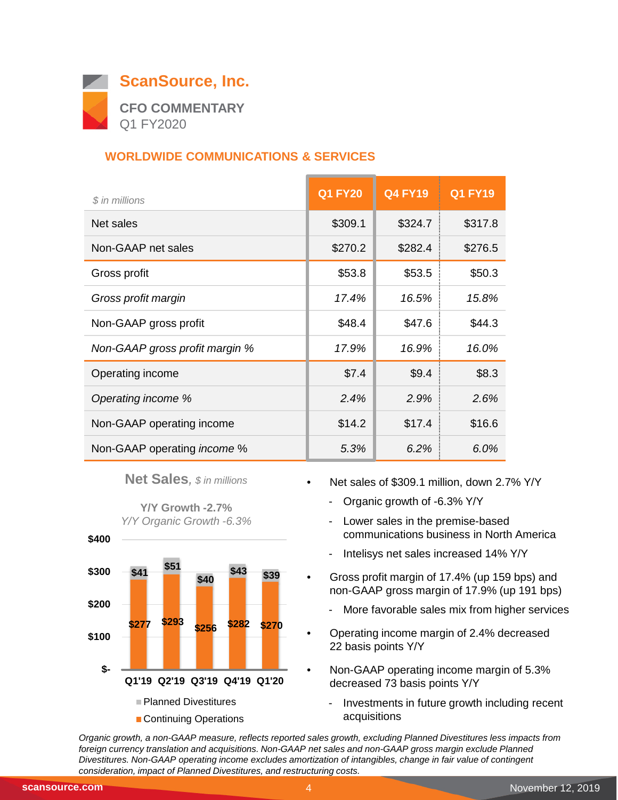

# **WORLDWIDE COMMUNICATIONS & SERVICES**

| \$ in millions                     | <b>Q1 FY20</b> | <b>Q4 FY19</b> | <b>Q1 FY19</b> |
|------------------------------------|----------------|----------------|----------------|
| Net sales                          | \$309.1        | \$324.7        | \$317.8        |
| Non-GAAP net sales                 | \$270.2        | \$282.4        | \$276.5        |
| Gross profit                       | \$53.8         | \$53.5         | \$50.3         |
| Gross profit margin                | 17.4%          | 16.5%          | 15.8%          |
| Non-GAAP gross profit              | \$48.4         | \$47.6         | \$44.3         |
| Non-GAAP gross profit margin %     | 17.9%          | 16.9%          | 16.0%          |
| Operating income                   | \$7.4          | \$9.4          | \$8.3          |
| Operating income %                 | 2.4%           | 2.9%           | 2.6%           |
| Non-GAAP operating income          | \$14.2         | \$17.4         | \$16.6         |
| Non-GAAP operating <i>income</i> % | 5.3%           | 6.2%           | 6.0%           |

**Net Sales***, \$ in millions*

**Y/Y Growth -2.7%** *Y/Y Organic Growth -6.3%*



- Net sales of \$309.1 million, down 2.7% Y/Y
	- Organic growth of -6.3% Y/Y
	- Lower sales in the premise-based communications business in North America
	- Intelisys net sales increased 14% Y/Y
- Gross profit margin of 17.4% (up 159 bps) and non-GAAP gross margin of 17.9% (up 191 bps)
	- More favorable sales mix from higher services
- Operating income margin of 2.4% decreased 22 basis points Y/Y
- Non-GAAP operating income margin of 5.3% decreased 73 basis points Y/Y
	- Investments in future growth including recent acquisitions

*Organic growth, a non-GAAP measure, reflects reported sales growth, excluding Planned Divestitures less impacts from*  foreign currency translation and acquisitions. Non-GAAP net sales and non-GAAP gross margin exclude Planned *Divestitures. Non-GAAP operating income excludes amortization of intangibles, change in fair value of contingent consideration, impact of Planned Divestitures, and restructuring costs.* $\overline{\phantom{0}}$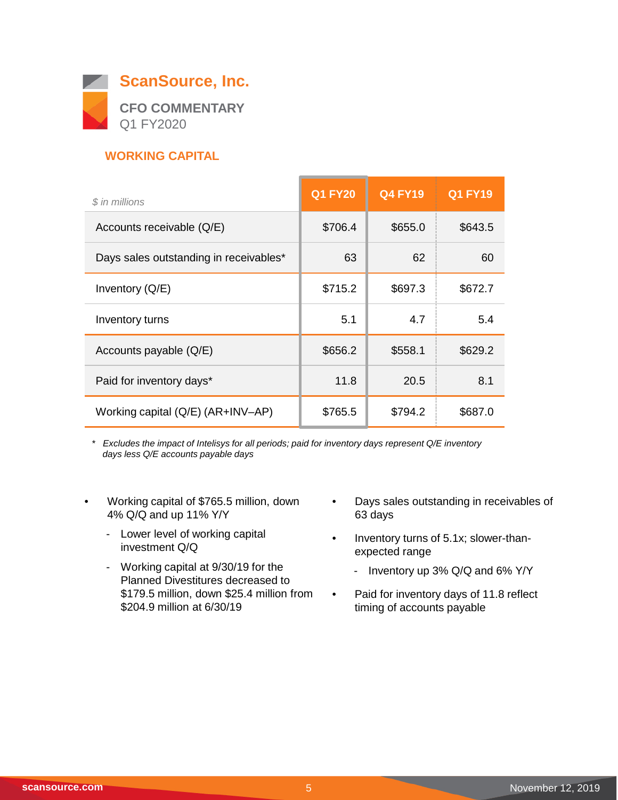

# **WORKING CAPITAL**

| \$ in millions                         | <b>Q1 FY20</b> | <b>Q4 FY19</b> | <b>Q1 FY19</b> |
|----------------------------------------|----------------|----------------|----------------|
| Accounts receivable (Q/E)              | \$706.4        | \$655.0        | \$643.5        |
| Days sales outstanding in receivables* | 63             | 62             | 60             |
| Inventory (Q/E)                        | \$715.2        | \$697.3        | \$672.7        |
| Inventory turns                        | 5.1            | 4.7            | 5.4            |
| Accounts payable (Q/E)                 | \$656.2        | \$558.1        | \$629.2        |
| Paid for inventory days*               | 11.8           | 20.5           | 8.1            |
| Working capital (Q/E) (AR+INV-AP)      | \$765.5        | \$794.2        | \$687.0        |

*\* Excludes the impact of Intelisys for all periods; paid for inventory days represent Q/E inventory days less Q/E accounts payable days*

- Working capital of \$765.5 million, down 4% Q/Q and up 11% Y/Y
	- Lower level of working capital investment Q/Q
	- Working capital at 9/30/19 for the Planned Divestitures decreased to \$179.5 million, down \$25.4 million from \$204.9 million at 6/30/19
- Days sales outstanding in receivables of 63 days
- Inventory turns of 5.1x; slower-thanexpected range
	- Inventory up 3% Q/Q and 6% Y/Y
- Paid for inventory days of 11.8 reflect timing of accounts payable

 $\overline{\phantom{0}}$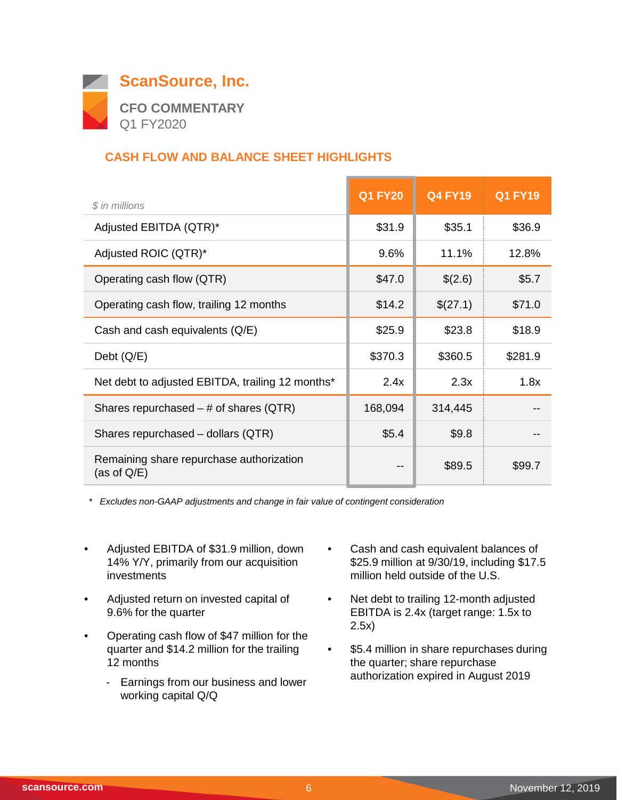

# **CASH FLOW AND BALANCE SHEET HIGHLIGHTS**

| \$ in millions                                             | <b>Q1 FY20</b> | <b>Q4 FY19</b> | <b>Q1 FY19</b> |
|------------------------------------------------------------|----------------|----------------|----------------|
| Adjusted EBITDA (QTR)*                                     | \$31.9         | \$35.1         | \$36.9         |
| Adjusted ROIC (QTR)*                                       | 9.6%           | 11.1%          | 12.8%          |
| Operating cash flow (QTR)                                  | \$47.0         | \$(2.6)        | \$5.7          |
| Operating cash flow, trailing 12 months                    | \$14.2         | \$(27.1)       | \$71.0         |
| Cash and cash equivalents (Q/E)                            | \$25.9         | \$23.8         | \$18.9         |
| Debt $(Q/E)$                                               | \$370.3        | \$360.5        | \$281.9        |
| Net debt to adjusted EBITDA, trailing 12 months*           | 2.4x           | 2.3x           | 1.8x           |
| Shares repurchased $-$ # of shares (QTR)                   | 168,094        | 314,445        |                |
| Shares repurchased - dollars (QTR)                         | \$5.4          | \$9.8          |                |
| Remaining share repurchase authorization<br>(as of $Q/E$ ) | --             | \$89.5         | \$99.7         |

*\* Excludes non-GAAP adjustments and change in fair value of contingent consideration*

- Adjusted EBITDA of \$31.9 million, down 14% Y/Y, primarily from our acquisition investments
- Adjusted return on invested capital of 9.6% for the quarter
- Operating cash flow of \$47 million for the quarter and \$14.2 million for the trailing 12 months
	- Earnings from our business and lower working capital Q/Q
- Cash and cash equivalent balances of \$25.9 million at 9/30/19, including \$17.5 million held outside of the U.S.
- Net debt to trailing 12-month adjusted EBITDA is 2.4x (target range: 1.5x to 2.5x)
- \$5.4 million in share repurchases during the quarter; share repurchase authorization expired in August 2019

 $\overline{\phantom{0}}$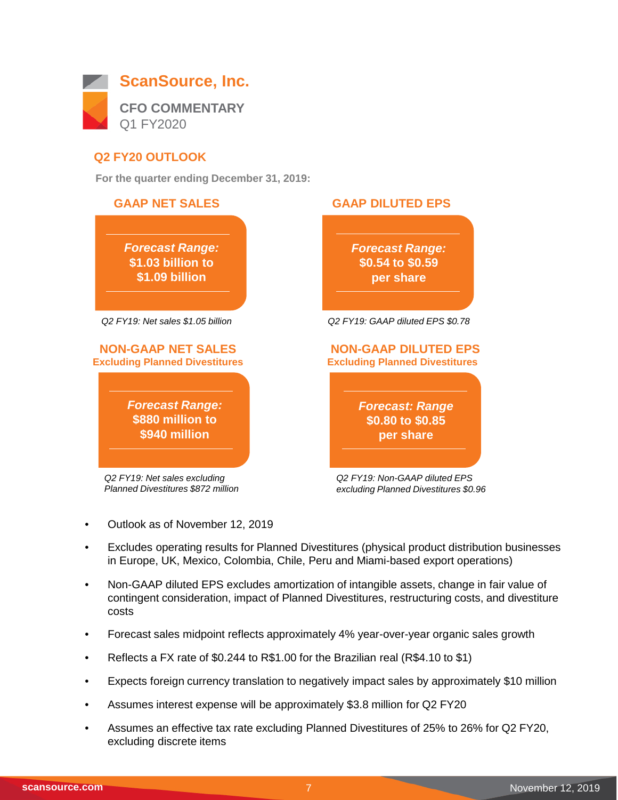

## **Q2 FY20 OUTLOOK**

**For the quarter ending December 31, 2019:**



- Outlook as of November 12, 2019
- Excludes operating results for Planned Divestitures (physical product distribution businesses in Europe, UK, Mexico, Colombia, Chile, Peru and Miami-based export operations)
- Non-GAAP diluted EPS excludes amortization of intangible assets, change in fair value of contingent consideration, impact of Planned Divestitures, restructuring costs, and divestiture costs
- Forecast sales midpoint reflects approximately 4% year-over-year organic sales growth
- Reflects a FX rate of \$0.244 to R\$1.00 for the Brazilian real (R\$4.10 to \$1)
- Expects foreign currency translation to negatively impact sales by approximately \$10 million
- Assumes interest expense will be approximately \$3.8 million for Q2 FY20
- Assumes an effective tax rate excluding Planned Divestitures of 25% to 26% for Q2 FY20, excluding discrete items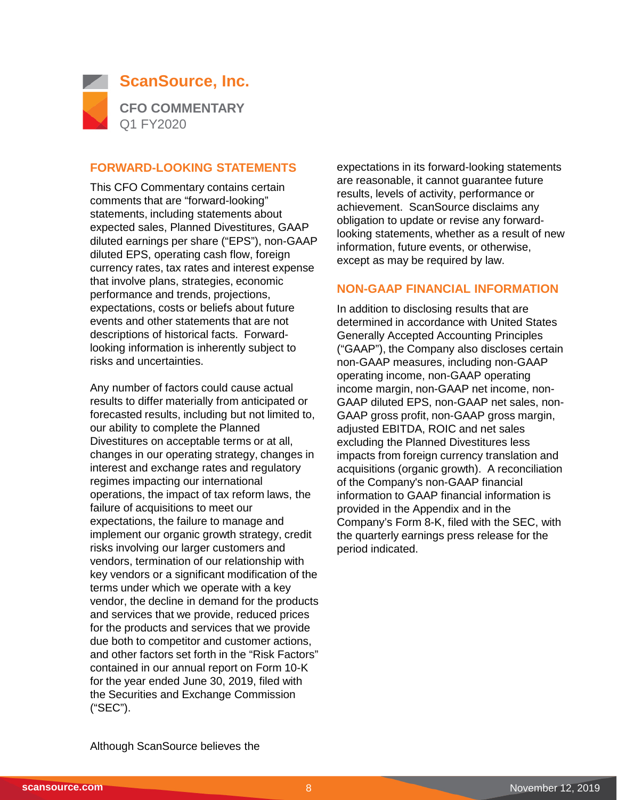

#### **FORWARD-LOOKING STATEMENTS**

This CFO Commentary contains certain comments that are "forward-looking" statements, including statements about expected sales, Planned Divestitures, GAAP diluted earnings per share ("EPS"), non-GAAP diluted EPS, operating cash flow, foreign currency rates, tax rates and interest expense that involve plans, strategies, economic performance and trends, projections, expectations, costs or beliefs about future events and other statements that are not descriptions of historical facts. Forwardlooking information is inherently subject to risks and uncertainties.

Any number of factors could cause actual results to differ materially from anticipated or forecasted results, including but not limited to, our ability to complete the Planned Divestitures on acceptable terms or at all, changes in our operating strategy, changes in interest and exchange rates and regulatory regimes impacting our international operations, the impact of tax reform laws, the failure of acquisitions to meet our expectations, the failure to manage and implement our organic growth strategy, credit risks involving our larger customers and vendors, termination of our relationship with key vendors or a significant modification of the terms under which we operate with a key vendor, the decline in demand for the products and services that we provide, reduced prices for the products and services that we provide due both to competitor and customer actions, and other factors set forth in the "Risk Factors" contained in our annual report on Form 10-K for the year ended June 30, 2019, filed with the Securities and Exchange Commission ("SEC").

expectations in its forward-looking statements are reasonable, it cannot guarantee future results, levels of activity, performance or achievement. ScanSource disclaims any obligation to update or revise any forwardlooking statements, whether as a result of new information, future events, or otherwise, except as may be required by law.

#### **NON-GAAP FINANCIAL INFORMATION**

In addition to disclosing results that are determined in accordance with United States Generally Accepted Accounting Principles ("GAAP"), the Company also discloses certain non-GAAP measures, including non-GAAP operating income, non-GAAP operating income margin, non-GAAP net income, non-GAAP diluted EPS, non-GAAP net sales, non-GAAP gross profit, non-GAAP gross margin, adjusted EBITDA, ROIC and net sales excluding the Planned Divestitures less impacts from foreign currency translation and acquisitions (organic growth). A reconciliation of the Company's non-GAAP financial information to GAAP financial information is provided in the Appendix and in the Company's Form 8-K, filed with the SEC, with the quarterly earnings press release for the period indicated.

Although ScanSource believes the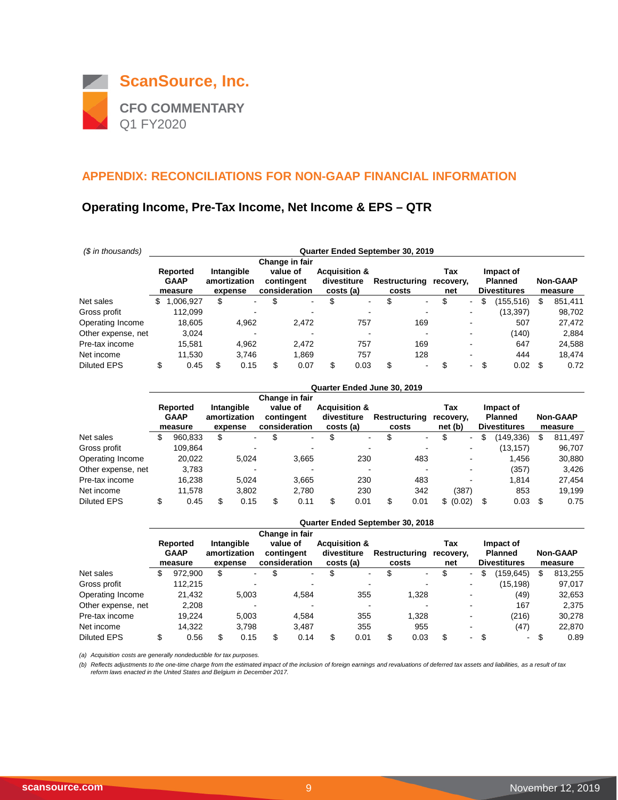

## **Operating Income, Pre-Tax Income, Net Income & EPS – QTR**

| (\$ in thousands)  | Quarter Ended September 30, 2019 |                                    |    |                                       |    |                                         |     |                                                      |              |                        |                         |        |                                                    |    |                            |
|--------------------|----------------------------------|------------------------------------|----|---------------------------------------|----|-----------------------------------------|-----|------------------------------------------------------|--------------|------------------------|-------------------------|--------|----------------------------------------------------|----|----------------------------|
|                    |                                  |                                    |    |                                       |    | Change in fair                          |     |                                                      |              |                        |                         |        |                                                    |    |                            |
|                    |                                  | Reported<br><b>GAAP</b><br>measure |    | Intangible<br>amortization<br>expense |    | value of<br>contingent<br>consideration |     | <b>Acquisition &amp;</b><br>divestiture<br>costs (a) |              | Restructuring<br>costs | Tax<br>recovery,<br>net |        | Impact of<br><b>Planned</b><br><b>Divestitures</b> |    | <b>Non-GAAP</b><br>measure |
| Net sales          | S                                | 006,927                            | \$ | ۰.                                    | \$ | $\blacksquare$                          | \$  |                                                      | \$<br>$\sim$ | $\sim$                 | \$                      | $\sim$ | (155,516)<br>S                                     | \$ | 851,411                    |
| Gross profit       |                                  | 112.099                            |    |                                       |    | -                                       |     |                                                      |              |                        |                         |        | (13, 397)                                          |    | 98,702                     |
| Operating Income   |                                  | 18.605                             |    | 4.962                                 |    | 2.472                                   |     | 757                                                  |              | 169                    |                         | -      | 507                                                |    | 27,472                     |
| Other expense, net |                                  | 3.024                              |    |                                       |    | -                                       |     |                                                      |              |                        |                         |        | (140)                                              |    | 2,884                      |
| Pre-tax income     |                                  | 15,581                             |    | 4,962                                 |    | 2,472                                   |     | 757                                                  |              | 169                    |                         | ۰      | 647                                                |    | 24,588                     |
| Net income         |                                  | 11.530                             |    | 3.746                                 |    | 1.869                                   |     | 757                                                  |              | 128                    |                         | -      | 444                                                |    | 18.474                     |
| <b>Diluted EPS</b> | \$                               | 0.45                               | \$ | 0.15                                  | S  | 0.07                                    | \$. | 0.03                                                 | \$           | $\sim$                 | \$                      | $\sim$ | \$<br>0.02                                         | \$ | 0.72                       |

|                    |                                    |    |                                       |     |                                         |   |                                                      |          | Quarter Ended June 30, 2019 |                             |                          |     |                                                    |    |                            |
|--------------------|------------------------------------|----|---------------------------------------|-----|-----------------------------------------|---|------------------------------------------------------|----------|-----------------------------|-----------------------------|--------------------------|-----|----------------------------------------------------|----|----------------------------|
|                    |                                    |    |                                       |     | Change in fair                          |   |                                                      |          |                             |                             |                          |     |                                                    |    |                            |
|                    | Reported<br><b>GAAP</b><br>measure |    | Intangible<br>amortization<br>expense |     | value of<br>contingent<br>consideration |   | <b>Acquisition &amp;</b><br>divestiture<br>costs (a) |          | Restructuring<br>costs      | Tax<br>recovery.<br>net (b) |                          |     | Impact of<br><b>Planned</b><br><b>Divestitures</b> |    | <b>Non-GAAP</b><br>measure |
| Net sales          | \$<br>960,833                      | \$ | $\blacksquare$                        | S   | ۰.                                      | S |                                                      | \$<br>۰. | $\sim$                      | \$                          | $\overline{\phantom{0}}$ | S   | (149,336)                                          | \$ | 811,497                    |
| Gross profit       | 109,864                            |    |                                       |     | -                                       |   |                                                      |          | $\overline{\phantom{a}}$    |                             |                          |     | (13, 157)                                          |    | 96,707                     |
| Operating Income   | 20,022                             |    | 5.024                                 |     | 3.665                                   |   | 230                                                  |          | 483                         |                             |                          |     | 1.456                                              |    | 30,880                     |
| Other expense, net | 3,783                              |    |                                       |     | $\overline{\phantom{a}}$                |   |                                                      |          |                             |                             |                          |     | (357)                                              |    | 3,426                      |
| Pre-tax income     | 16.238                             |    | 5,024                                 |     | 3,665                                   |   | 230                                                  |          | 483                         |                             |                          |     | 1.814                                              |    | 27,454                     |
| Net income         | 11.578                             |    | 3.802                                 |     | 2.780                                   |   | 230                                                  |          | 342                         |                             | (387)                    |     | 853                                                |    | 19,199                     |
| <b>Diluted EPS</b> | \$<br>0.45                         | S  | 0.15                                  | \$. | 0.11                                    | S | 0.01                                                 | \$       | 0.01                        |                             | \$ (0.02)                | -\$ | 0.03                                               | S  | 0.75                       |

|                    |   |                        |                         |                             |                          | Quarter Ended September 30, 2018 |                  |                |                                       |                            |
|--------------------|---|------------------------|-------------------------|-----------------------------|--------------------------|----------------------------------|------------------|----------------|---------------------------------------|----------------------------|
|                    |   | Reported               | Intangible              | Change in fair<br>value of  | <b>Acquisition &amp;</b> |                                  | Tax              |                | Impact of                             |                            |
|                    |   | <b>GAAP</b><br>measure | amortization<br>expense | contingent<br>consideration | divestiture<br>costs (a) | Restructuring<br>costs           | recovery,<br>net |                | <b>Planned</b><br><b>Divestitures</b> | <b>Non-GAAP</b><br>measure |
| Net sales          | S | 972,900                | \$                      | \$<br>٠                     | $\sim$                   | \$<br>$\,$                       | \$               | $\sim$         | (159,645)<br>S                        | \$<br>813,255              |
| Gross profit       |   | 112.215                |                         | $\overline{\phantom{a}}$    |                          |                                  |                  |                | (15, 198)                             | 97,017                     |
| Operating Income   |   | 21,432                 | 5.003                   | 4,584                       | 355                      | 1,328                            |                  |                | (49)                                  | 32,653                     |
| Other expense, net |   | 2,208                  |                         |                             |                          |                                  |                  |                | 167                                   | 2,375                      |
| Pre-tax income     |   | 19.224                 | 5.003                   | 4.584                       | 355                      | 1.328                            |                  |                | (216)                                 | 30,278                     |
| Net income         |   | 14.322                 | 3.798                   | 3.487                       | 355                      | 955                              |                  |                | (47)                                  | 22,870                     |
| <b>Diluted EPS</b> |   | 0.56                   | 0.15                    | 0.14                        | 0.01                     | \$<br>0.03                       | \$               | - \$<br>$\sim$ | $\sim$                                | 0.89                       |

*(a) Acquisition costs are generally nondeductible for tax purposes.*

*(b) Reflects adjustments to the one-time charge from the estimated impact of the inclusion of foreign earnings and revaluations of deferred tax assets and liabilities, as a result of tax reform laws enacted in the United States and Belgium in December 2017.*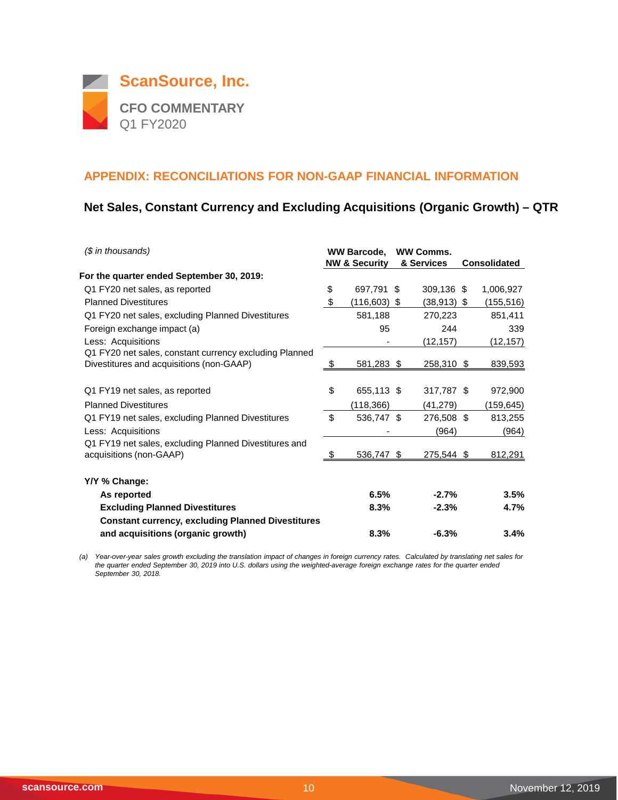

## **Net Sales, Constant Currency and Excluding Acquisitions (Organic Growth) – QTR**

| $$$ in thousands)                                                                                  |    | <b>WW Barcode,</b><br><b>NW &amp; Security</b> | <b>WW Comms.</b><br>& Services | <b>Consolidated</b> |
|----------------------------------------------------------------------------------------------------|----|------------------------------------------------|--------------------------------|---------------------|
| For the quarter ended September 30, 2019:                                                          |    |                                                |                                |                     |
| Q1 FY20 net sales, as reported                                                                     | \$ | 697,791 \$                                     | 309,136 \$                     | 1,006,927           |
| <b>Planned Divestitures</b>                                                                        | \$ | (116,603) \$                                   | $(38, 913)$ \$                 | (155, 516)          |
| Q1 FY20 net sales, excluding Planned Divestitures                                                  |    | 581,188                                        | 270,223                        | 851,411             |
| Foreign exchange impact (a)                                                                        |    | 95                                             | 244                            | 339                 |
| Less: Acquisitions                                                                                 |    |                                                | (12, 157)                      | (12, 157)           |
| Q1 FY20 net sales, constant currency excluding Planned<br>Divestitures and acquisitions (non-GAAP) | -S | 581,283 \$                                     | <u>258,310 \$</u>              | <u>839,593</u>      |
| Q1 FY19 net sales, as reported                                                                     | \$ | 655,113 \$                                     | 317,787 \$                     | 972,900             |
| <b>Planned Divestitures</b>                                                                        |    | (118, 366)                                     | (41,279)                       | (159, 645)          |
| Q1 FY19 net sales, excluding Planned Divestitures                                                  | \$ | 536,747 \$                                     | 276,508 \$                     | 813,255             |
| Less: Acquisitions                                                                                 |    |                                                | (964)                          | (964)               |
| Q1 FY19 net sales, excluding Planned Divestitures and<br>acquisitions (non-GAAP)                   | -S | $536,747$ \$                                   | $275,544$ \$                   | 812,291             |
| Y/Y % Change:                                                                                      |    |                                                |                                |                     |
| As reported                                                                                        |    | 6.5%                                           | $-2.7%$                        | 3.5%                |
| <b>Excluding Planned Divestitures</b>                                                              |    | 8.3%                                           | $-2.3%$                        | 4.7%                |
| <b>Constant currency, excluding Planned Divestitures</b>                                           |    |                                                |                                |                     |
| and acquisitions (organic growth)                                                                  |    | 8.3%                                           | $-6.3%$                        | 3.4%                |

*(a) Year-over-year sales growth excluding the translation impact of changes in foreign currency rates. Calculated by translating net sales for the quarter ended September 30, 2019 into U.S. dollars using the weighted-average foreign exchange rates for the quarter ended September 30, 2018.*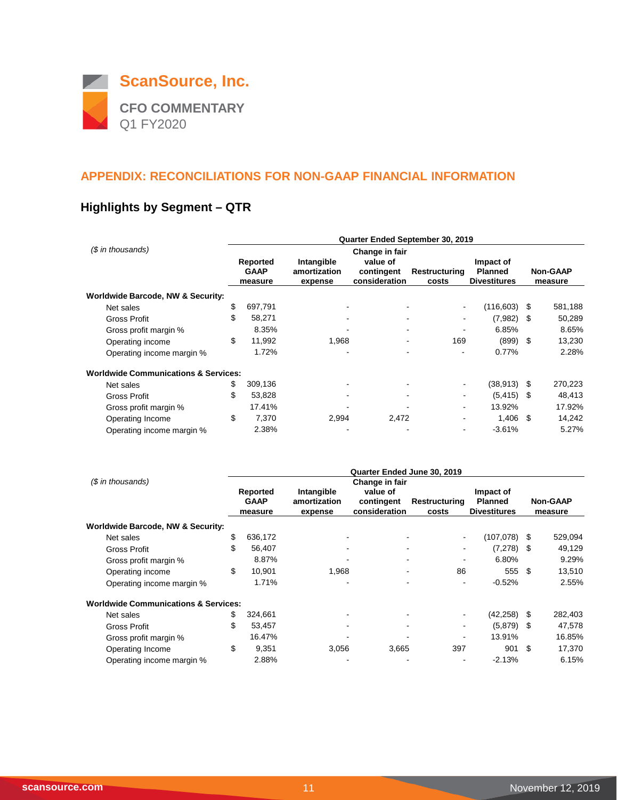

# **Highlights by Segment – QTR**

|                                                 |    | Quarter Ended September 30, 2019 |                         |                             |                               |                                       |      |                            |  |  |  |  |  |
|-------------------------------------------------|----|----------------------------------|-------------------------|-----------------------------|-------------------------------|---------------------------------------|------|----------------------------|--|--|--|--|--|
| $$$ in thousands)                               |    | Reported                         | Intangible              | Change in fair<br>value of  |                               | Impact of                             |      |                            |  |  |  |  |  |
|                                                 |    | <b>GAAP</b><br>measure           | amortization<br>expense | contingent<br>consideration | Restructuring<br>costs        | <b>Planned</b><br><b>Divestitures</b> |      | <b>Non-GAAP</b><br>measure |  |  |  |  |  |
| Worldwide Barcode, NW & Security:               |    |                                  |                         |                             |                               |                                       |      |                            |  |  |  |  |  |
| Net sales                                       | \$ | 697,791                          |                         |                             | $\blacksquare$                | (116,603)                             | - \$ | 581,188                    |  |  |  |  |  |
| Gross Profit                                    | \$ | 58,271                           |                         |                             | $\blacksquare$                | $(7,982)$ \$                          |      | 50,289                     |  |  |  |  |  |
| Gross profit margin %                           |    | 8.35%                            |                         |                             | ۰<br>$\overline{\phantom{a}}$ | 6.85%                                 |      | 8.65%                      |  |  |  |  |  |
| Operating income                                | \$ | 11,992                           | 1,968                   |                             | 169<br>۰                      | $(899)$ \$                            |      | 13,230                     |  |  |  |  |  |
| Operating income margin %                       |    | 1.72%                            |                         |                             | ۰                             | 0.77%                                 |      | 2.28%                      |  |  |  |  |  |
| <b>Worldwide Communications &amp; Services:</b> |    |                                  |                         |                             |                               |                                       |      |                            |  |  |  |  |  |
| Net sales                                       | \$ | 309,136                          |                         |                             |                               | $(38,913)$ \$                         |      | 270,223                    |  |  |  |  |  |
| Gross Profit                                    | \$ | 53,828                           | ٠                       |                             |                               | $(5, 415)$ \$                         |      | 48,413                     |  |  |  |  |  |
| Gross profit margin %                           |    | 17.41%                           |                         |                             | $\overline{\phantom{a}}$      | 13.92%                                |      | 17.92%                     |  |  |  |  |  |
| Operating Income                                | \$ | 7,370                            | 2,994                   | 2,472                       | $\overline{\phantom{a}}$      | $1.406$ \$                            |      | 14,242                     |  |  |  |  |  |
| Operating income margin %                       |    | 2.38%                            |                         |                             | $\blacksquare$                | $-3.61%$                              |      | 5.27%                      |  |  |  |  |  |

|                                                 |    |                                    |                                       | Quarter Ended June 30, 2019                               |                               |                                                    |                            |         |
|-------------------------------------------------|----|------------------------------------|---------------------------------------|-----------------------------------------------------------|-------------------------------|----------------------------------------------------|----------------------------|---------|
| (\$ in thousands)                               |    | Reported<br><b>GAAP</b><br>measure | Intangible<br>amortization<br>expense | Change in fair<br>value of<br>contingent<br>consideration | <b>Restructuring</b><br>costs | Impact of<br><b>Planned</b><br><b>Divestitures</b> | <b>Non-GAAP</b><br>measure |         |
| Worldwide Barcode, NW & Security:               |    |                                    |                                       |                                                           |                               |                                                    |                            |         |
| Net sales                                       | \$ | 636,172                            |                                       |                                                           |                               | $(107,078)$ \$                                     |                            | 529,094 |
| Gross Profit                                    | \$ | 56,407                             |                                       |                                                           |                               | $(7,278)$ \$                                       |                            | 49,129  |
| Gross profit margin %                           |    | 8.87%                              |                                       |                                                           | ۰                             | 6.80%                                              |                            | 9.29%   |
| Operating income                                | \$ | 10,901                             | 1.968                                 |                                                           | 86<br>۰                       | 555                                                | -\$                        | 13,510  |
| Operating income margin %                       |    | 1.71%                              |                                       |                                                           |                               | $-0.52%$                                           |                            | 2.55%   |
| <b>Worldwide Communications &amp; Services:</b> |    |                                    |                                       |                                                           |                               |                                                    |                            |         |
| Net sales                                       | \$ | 324,661                            |                                       |                                                           |                               | (42, 258)                                          | - \$                       | 282,403 |
| Gross Profit                                    | \$ | 53,457                             |                                       |                                                           |                               | $(5,879)$ \$                                       |                            | 47,578  |
| Gross profit margin %                           |    | 16.47%                             |                                       |                                                           |                               | 13.91%                                             |                            | 16.85%  |
| Operating Income                                | \$ | 9,351                              | 3,056                                 | 3,665                                                     | 397                           | 901                                                | -\$                        | 17,370  |
| Operating income margin %                       |    | 2.88%                              |                                       |                                                           | $\overline{\phantom{a}}$      | $-2.13%$                                           |                            | 6.15%   |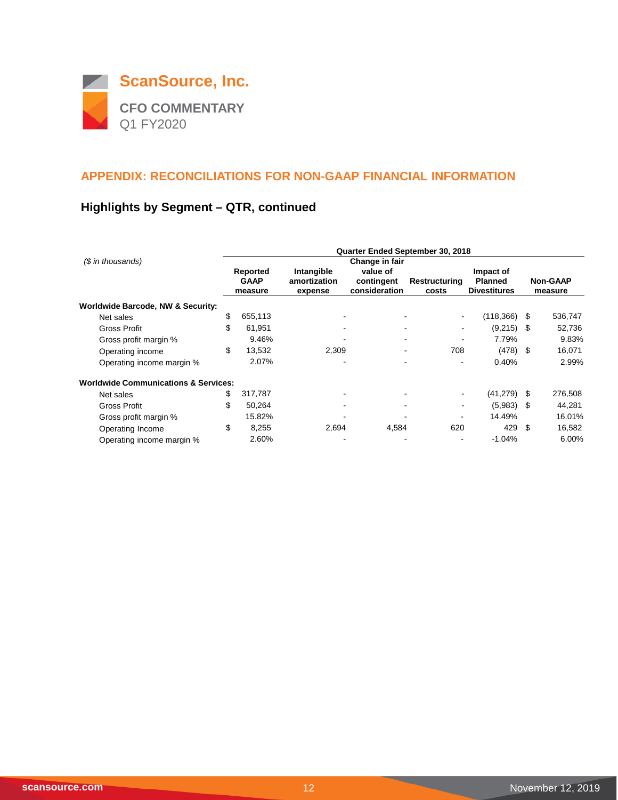

# **Highlights by Segment – QTR, continued**

|                                                 |                         |                            | Quarter Ended September 30, 2018 |                       |                             |                 |         |
|-------------------------------------------------|-------------------------|----------------------------|----------------------------------|-----------------------|-----------------------------|-----------------|---------|
| (\$ in thousands)                               |                         |                            | Change in fair                   |                       |                             |                 |         |
|                                                 | Reported<br><b>GAAP</b> | Intangible<br>amortization | value of<br>contingent           | Restructuring         | Impact of<br><b>Planned</b> | <b>Non-GAAP</b> |         |
|                                                 | measure                 | expense                    | consideration                    | costs                 | <b>Divestitures</b>         |                 | measure |
| Worldwide Barcode, NW & Security:               |                         |                            |                                  |                       |                             |                 |         |
| Net sales                                       | \$<br>655,113           | $\blacksquare$             |                                  | $\sim$                | (118,366)                   | S               | 536,747 |
| Gross Profit                                    | \$<br>61,951            |                            |                                  | $\blacksquare$        | (9,215)                     | - \$            | 52,736  |
| Gross profit margin %                           | 9.46%                   |                            |                                  | ۰<br>٠                | 7.79%                       |                 | 9.83%   |
| Operating income                                | \$<br>13,532            | 2,309                      |                                  | 708<br>$\blacksquare$ | (478)                       | - \$            | 16,071  |
| Operating income margin %                       | 2.07%                   |                            |                                  |                       | 0.40%                       |                 | 2.99%   |
| <b>Worldwide Communications &amp; Services:</b> |                         |                            |                                  |                       |                             |                 |         |
| Net sales                                       | \$<br>317,787           |                            |                                  |                       | (41, 279)                   | -S              | 276,508 |
| <b>Gross Profit</b>                             | \$<br>50,264            |                            |                                  |                       | (5,983)                     | S               | 44,281  |
| Gross profit margin %                           | 15.82%                  |                            |                                  | $\blacksquare$        | 14.49%                      |                 | 16.01%  |
| Operating Income                                | \$<br>8,255             | 2,694                      | 4,584                            | 620                   | 429                         | \$              | 16,582  |
| Operating income margin %                       | 2.60%                   |                            |                                  |                       | $-1.04%$                    |                 | 6.00%   |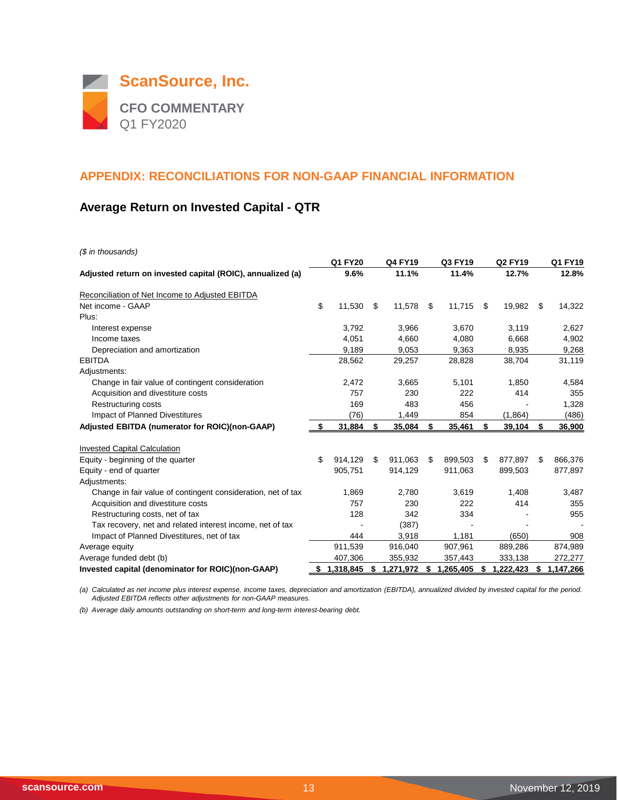

## **Average Return on Invested Capital - QTR**

*(\$ in thousands)*

|                                                              | Q1 FY20       |     | <b>Q4 FY19</b> |     | Q3 FY19   | <b>Q2 FY19</b>  |     | Q1 FY19   |
|--------------------------------------------------------------|---------------|-----|----------------|-----|-----------|-----------------|-----|-----------|
| Adjusted return on invested capital (ROIC), annualized (a)   | 9.6%          |     | 11.1%          |     | 11.4%     | 12.7%           |     | 12.8%     |
| Reconciliation of Net Income to Adjusted EBITDA              |               |     |                |     |           |                 |     |           |
| Net income - GAAP                                            | \$<br>11,530  | \$  | 11,578         | \$  | 11,715    | \$<br>19,982    | \$  | 14,322    |
| Plus:                                                        |               |     |                |     |           |                 |     |           |
| Interest expense                                             | 3.792         |     | 3,966          |     | 3,670     | 3,119           |     | 2,627     |
| Income taxes                                                 | 4,051         |     | 4,660          |     | 4,080     | 6,668           |     | 4,902     |
| Depreciation and amortization                                | 9,189         |     | 9,053          |     | 9,363     | 8,935           |     | 9,268     |
| <b>EBITDA</b>                                                | 28,562        |     | 29,257         |     | 28,828    | 38,704          |     | 31,119    |
| Adjustments:                                                 |               |     |                |     |           |                 |     |           |
| Change in fair value of contingent consideration             | 2,472         |     | 3,665          |     | 5,101     | 1,850           |     | 4,584     |
| Acquisition and divestiture costs                            | 757           |     | 230            |     | 222       | 414             |     | 355       |
| Restructuring costs                                          | 169           |     | 483            |     | 456       |                 |     | 1,328     |
| Impact of Planned Divestitures                               | (76)          |     | 1,449          |     | 854       | (1,864)         |     | (486)     |
| Adjusted EBITDA (numerator for ROIC)(non-GAAP)               | 31,884        | \$  | 35,084         | \$  | 35,461    | \$<br>39,104    | \$  | 36,900    |
| <b>Invested Capital Calculation</b>                          |               |     |                |     |           |                 |     |           |
| Equity - beginning of the quarter                            | \$<br>914.129 | \$. | 911.063        | \$  | 899.503   | \$<br>877.897   | \$. | 866,376   |
| Equity - end of quarter                                      | 905,751       |     | 914,129        |     | 911,063   | 899,503         |     | 877,897   |
| Adjustments:                                                 |               |     |                |     |           |                 |     |           |
| Change in fair value of contingent consideration, net of tax | 1,869         |     | 2,780          |     | 3,619     | 1,408           |     | 3,487     |
| Acquisition and divestiture costs                            | 757           |     | 230            |     | 222       | 414             |     | 355       |
| Restructuring costs, net of tax                              | 128           |     | 342            |     | 334       |                 |     | 955       |
| Tax recovery, net and related interest income, net of tax    |               |     | (387)          |     |           |                 |     |           |
| Impact of Planned Divestitures, net of tax                   | 444           |     | 3,918          |     | 1,181     | (650)           |     | 908       |
| Average equity                                               | 911,539       |     | 916,040        |     | 907,961   | 889,286         |     | 874,989   |
| Average funded debt (b)                                      | 407,306       |     | 355,932        |     | 357,443   | 333,138         |     | 272,277   |
| Invested capital (denominator for ROIC)(non-GAAP)            | \$1,318,845   | S   | 1,271,972      | - 5 | 1,265,405 | \$<br>1,222,423 | S   | 1,147,266 |

*(a) Calculated as net income plus interest expense, income taxes, depreciation and amortization (EBITDA), annualized divided by invested capital for the period. Adjusted EBITDA reflects other adjustments for non-GAAP measures.*

*(b) Average daily amounts outstanding on short-term and long-term interest-bearing debt.*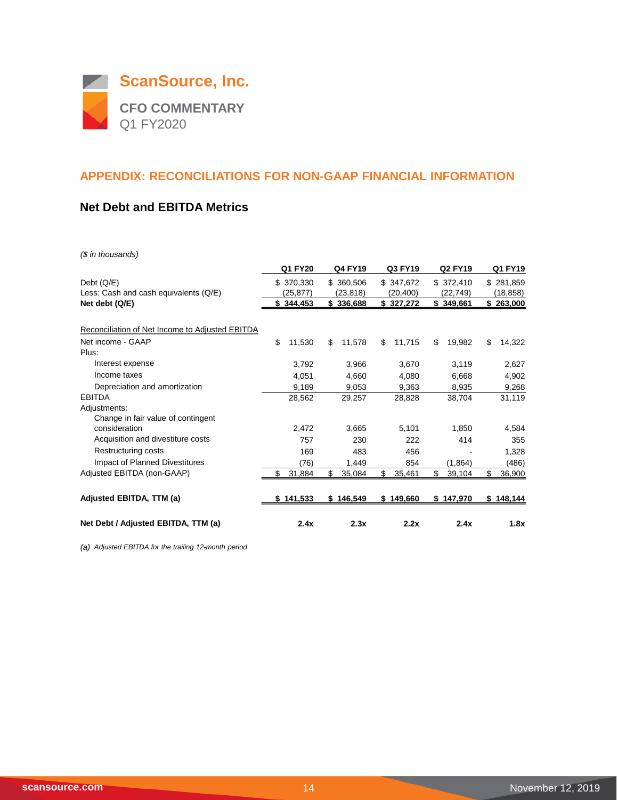

#### **Net Debt and EBITDA Metrics**

*(\$ in thousands)*

|                                                 | Q1 FY20       | Q4 FY19       | Q3 FY19      | <b>Q2 FY19</b> | Q1 FY19      |
|-------------------------------------------------|---------------|---------------|--------------|----------------|--------------|
| Debt $(Q/E)$                                    | \$ 370,330    | \$ 360,506    | \$347,672    | \$372,410      | \$281,859    |
| Less: Cash and cash equivalents (Q/E)           | (25,877)      | (23, 818)     | (20,400)     | (22,749)       | (18,858)     |
| Net debt (Q/E)                                  | \$344,453     | \$336,688     | \$327,272    | \$349,661      | \$263,000    |
| Reconciliation of Net Income to Adjusted EBITDA |               |               |              |                |              |
| Net income - GAAP                               | \$<br>11,530  | 11,578<br>\$  | \$<br>11,715 | \$<br>19,982   | \$<br>14,322 |
| Plus:                                           |               |               |              |                |              |
| Interest expense                                | 3,792         | 3,966         | 3,670        | 3,119          | 2,627        |
| Income taxes                                    | 4,051         | 4,660         | 4,080        | 6,668          | 4,902        |
| Depreciation and amortization                   | 9,189         | 9,053         | 9,363        | 8,935          | 9,268        |
| <b>EBITDA</b>                                   | 28,562        | 29,257        | 28,828       | 38,704         | 31,119       |
| Adjustments:                                    |               |               |              |                |              |
| Change in fair value of contingent              |               |               |              |                |              |
| consideration                                   | 2,472         | 3,665         | 5,101        | 1,850          | 4,584        |
| Acquisition and divestiture costs               | 757           | 230           | 222          | 414            | 355          |
| Restructuring costs                             | 169           | 483           | 456          |                | 1,328        |
| Impact of Planned Divestitures                  | (76)          | 1,449         | 854          | (1,864)        | (486)        |
| Adjusted EBITDA (non-GAAP)                      | 31,884        | \$<br>35,084  | \$<br>35,461 | \$<br>39,104   | \$<br>36,900 |
| Adjusted EBITDA, TTM (a)                        | 141,533<br>\$ | 146,549<br>\$ | \$149,660    | 147,970<br>\$  | \$148,144    |
| Net Debt / Adjusted EBITDA, TTM (a)             | 2.4x          | 2.3x          | 2.2x         | 2.4x           | 1.8x         |

*(a) Adjusted EBITDA for the trailing 12-month period*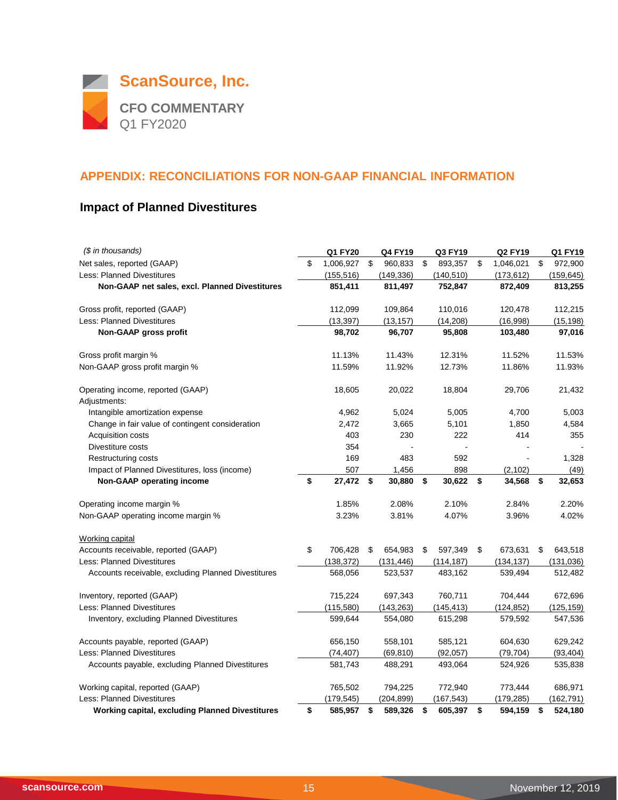

# **Impact of Planned Divestitures**

| (\$ in thousands)                                      | <b>Q1 FY20</b>  | <b>Q4 FY19</b> | Q3 FY19       | <b>Q2 FY19</b>  | Q1 FY19       |
|--------------------------------------------------------|-----------------|----------------|---------------|-----------------|---------------|
| Net sales, reported (GAAP)                             | \$<br>1,006,927 | \$<br>960,833  | \$<br>893,357 | \$<br>1,046,021 | \$<br>972,900 |
| <b>Less: Planned Divestitures</b>                      | (155, 516)      | (149, 336)     | (140, 510)    | (173, 612)      | (159, 645)    |
| Non-GAAP net sales, excl. Planned Divestitures         | 851,411         | 811,497        | 752,847       | 872,409         | 813,255       |
| Gross profit, reported (GAAP)                          | 112,099         | 109,864        | 110,016       | 120,478         | 112,215       |
| <b>Less: Planned Divestitures</b>                      | (13, 397)       | (13, 157)      | (14, 208)     | (16,998)        | (15, 198)     |
| Non-GAAP gross profit                                  | 98,702          | 96,707         | 95,808        | 103,480         | 97,016        |
| Gross profit margin %                                  | 11.13%          | 11.43%         | 12.31%        | 11.52%          | 11.53%        |
| Non-GAAP gross profit margin %                         | 11.59%          | 11.92%         | 12.73%        | 11.86%          | 11.93%        |
| Operating income, reported (GAAP)<br>Adjustments:      | 18,605          | 20,022         | 18,804        | 29,706          | 21,432        |
| Intangible amortization expense                        | 4,962           | 5,024          | 5,005         | 4,700           | 5,003         |
| Change in fair value of contingent consideration       | 2,472           | 3,665          | 5,101         | 1,850           | 4,584         |
| Acquisition costs                                      | 403             | 230            | 222           | 414             | 355           |
| Divestiture costs                                      | 354             |                |               |                 |               |
| Restructuring costs                                    | 169             | 483            | 592           |                 | 1,328         |
| Impact of Planned Divestitures, loss (income)          | 507             | 1,456          | 898           | (2, 102)        | (49)          |
| Non-GAAP operating income                              | \$<br>27,472    | \$<br>30,880   | \$<br>30,622  | \$<br>34,568    | \$<br>32,653  |
| Operating income margin %                              | 1.85%           | 2.08%          | 2.10%         | 2.84%           | 2.20%         |
| Non-GAAP operating income margin %                     | 3.23%           | 3.81%          | 4.07%         | 3.96%           | 4.02%         |
| Working capital                                        |                 |                |               |                 |               |
| Accounts receivable, reported (GAAP)                   | \$<br>706,428   | \$<br>654,983  | \$<br>597,349 | \$<br>673,631   | \$<br>643,518 |
| <b>Less: Planned Divestitures</b>                      | (138, 372)      | (131, 446)     | (114, 187)    | (134, 137)      | (131, 036)    |
| Accounts receivable, excluding Planned Divestitures    | 568,056         | 523,537        | 483,162       | 539,494         | 512,482       |
| Inventory, reported (GAAP)                             | 715,224         | 697,343        | 760,711       | 704,444         | 672,696       |
| <b>Less: Planned Divestitures</b>                      | (115,580)       | (143, 263)     | (145, 413)    | (124, 852)      | (125, 159)    |
| Inventory, excluding Planned Divestitures              | 599,644         | 554,080        | 615,298       | 579,592         | 547,536       |
| Accounts payable, reported (GAAP)                      | 656,150         | 558,101        | 585,121       | 604,630         | 629,242       |
| <b>Less: Planned Divestitures</b>                      | (74, 407)       | (69, 810)      | (92,057)      | (79, 704)       | (93, 404)     |
| Accounts payable, excluding Planned Divestitures       | 581,743         | 488,291        | 493,064       | 524,926         | 535,838       |
| Working capital, reported (GAAP)                       | 765,502         | 794,225        | 772,940       | 773,444         | 686,971       |
| <b>Less: Planned Divestitures</b>                      | (179, 545)      | (204, 899)     | (167, 543)    | (179, 285)      | (162, 791)    |
| <b>Working capital, excluding Planned Divestitures</b> | \$<br>585,957   | \$<br>589,326  | \$<br>605,397 | \$<br>594,159   | \$<br>524,180 |